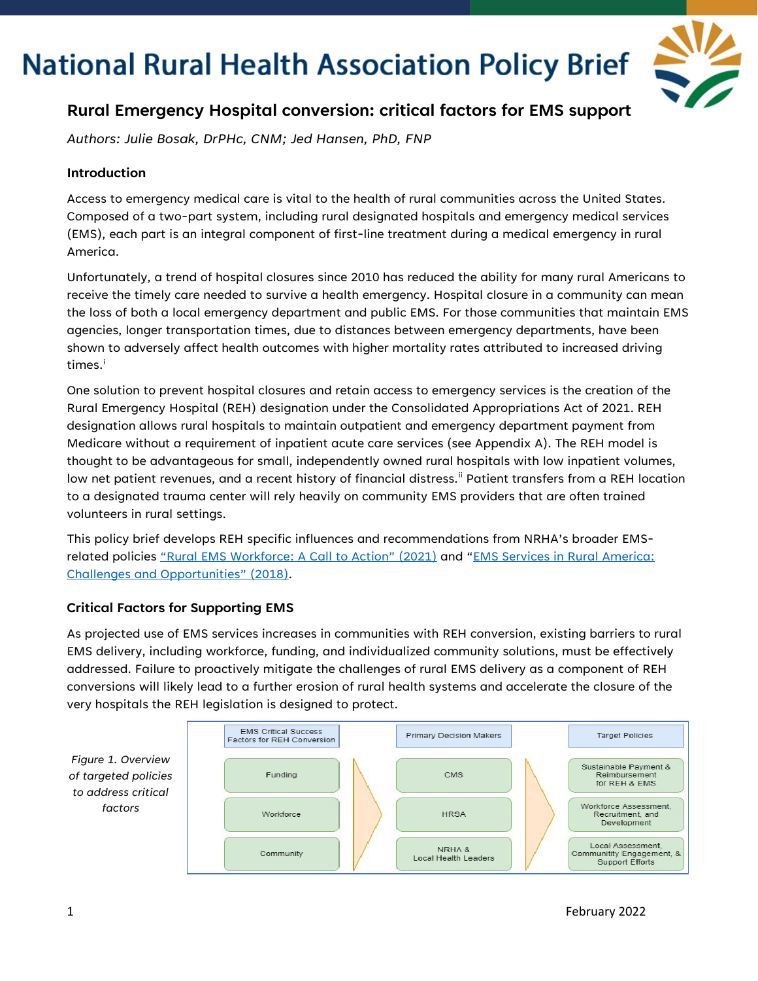

### **Rural Emergency Hospital conversion: critical factors for EMS support**

*Authors: Julie Bosak, DrPHc, CNM; Jed Hansen, PhD, FNP*

### **Introduction**

Access to emergency medical care is vital to the health of rural communities across the United States. Composed of a two-part system, including rural designated hospitals and emergency medical services (EMS), each part is an integral component of first-line treatment during a medical emergency in rural America.

Unfortunately, a trend of hospital closures since 2010 has reduced the ability for many rural Americans to receive the timely care needed to survive a health emergency. Hospital closure in a community can mean the loss of both a local emergency department and public EMS. For those communities that maintain EMS agencies, longer transportation times, due to distances between emergency departments, have been shown to adversely affect health outcomes with higher mortality rates attributed to increased driving t[i](#page-6-0)mes.<sup>i</sup>

One solution to prevent hospital closures and retain access to emergency services is the creation of the Rural Emergency Hospital (REH) designation under the Consolidated Appropriations Act of 2021. REH designation allows rural hospitals to maintain outpatient and emergency department payment from Medicare without a requirement of inpatient acute care services (see Appendix A). The REH model is thought to be advantageous for small, independently owned rural hospitals with low inpatient volumes, low net patient revenues, and a recent history of financial distress." Patient transfers from a REH location to a designated trauma center will rely heavily on community EMS providers that are often trained volunteers in rural settings.

This policy brief develops REH specific influences and recommendations from NRHA's broader EMSrelated policies ["Rural EMS Workforce: A Call to Action" \(2021\)](https://www.ruralhealth.us/NRHA/media/Emerge_NRHA/Advocacy/Policy%20documents/NRHA-Policy-Brief-Rural-EMS-Workforce.pdf) and ["EMS Services in Rural America:](https://www.ruralhealth.us/NRHA/media/Emerge_NRHA/Advocacy/Policy%20documents/2019-NRHA-Policy-Document-EMS-Services-in-Rural-America-Challenges-and-Opportunities.pdf)  [Challenges and Opportunities" \(2018\).](https://www.ruralhealth.us/NRHA/media/Emerge_NRHA/Advocacy/Policy%20documents/2019-NRHA-Policy-Document-EMS-Services-in-Rural-America-Challenges-and-Opportunities.pdf)

### **Critical Factors for Supporting EMS**

As projected use of EMS services increases in communities with REH conversion, existing barriers to rural EMS delivery, including workforce, funding, and individualized community solutions, must be effectively addressed. Failure to proactively mitigate the challenges of rural EMS delivery as a component of REH conversions will likely lead to a further erosion of rural health systems and accelerate the closure of the very hospitals the REH legislation is designed to protect.

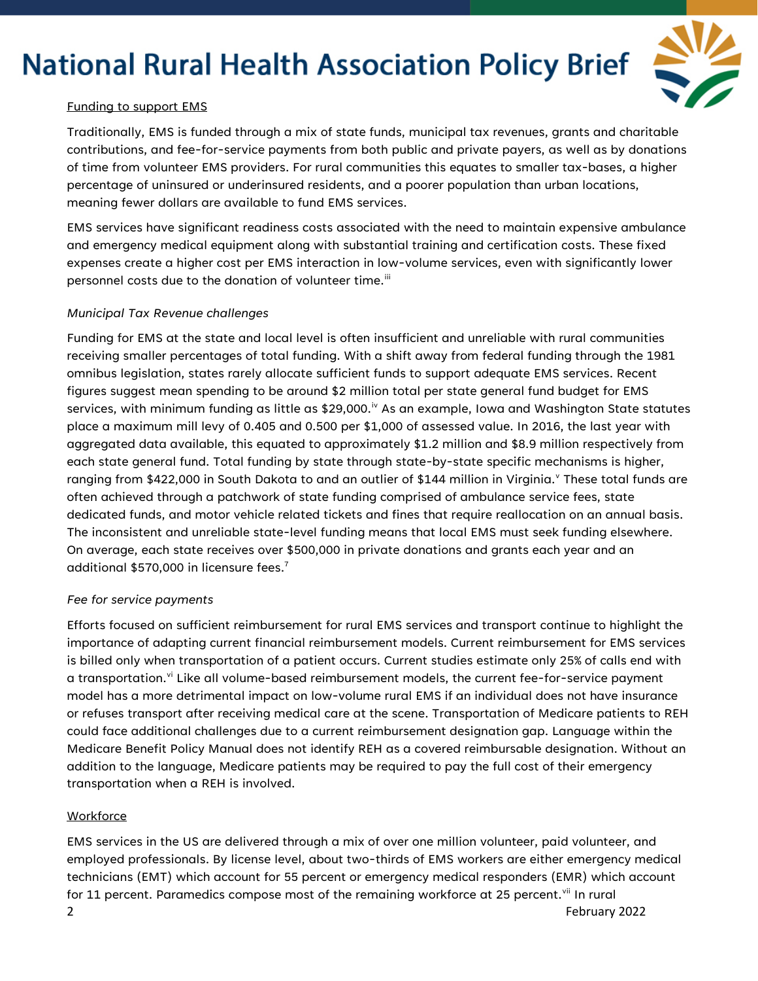

#### Funding to support EMS

Traditionally, EMS is funded through a mix of state funds, municipal tax revenues, grants and charitable contributions, and fee-for-service payments from both public and private payers, as well as by donations of time from volunteer EMS providers. For rural communities this equates to smaller tax-bases, a higher percentage of uninsured or underinsured residents, and a poorer population than urban locations, meaning fewer dollars are available to fund EMS services.

EMS services have significant readiness costs associated with the need to maintain expensive ambulance and emergency medical equipment along with substantial training and certification costs. These fixed expenses create a higher cost per EMS interaction in low-volume services, even with significantly lower personnel costs due to the donation of volunteer time.<sup>[iii](#page-6-2)</sup>

#### *Municipal Tax Revenue challenges*

Funding for EMS at the state and local level is often insufficient and unreliable with rural communities receiving smaller percentages of total funding. With a shift away from federal funding through the 1981 omnibus legislation, states rarely allocate sufficient funds to support adequate EMS services. Recent figures suggest mean spending to be around \$2 million total per state general fund budget for EMS services, with minimum funding as little as \$29,000.<sup>[iv](#page-6-3)</sup> As an example, Iowa and Washington State statutes place a maximum mill levy of 0.405 and 0.500 per \$1,000 of assessed value. In 2016, the last year with aggregated data available, this equated to approximately \$1.2 million and \$8.9 million respectively from each state general fund. Total funding by state through state-by-state specific mechanisms is higher, ranging from \$422,000 in South Dakota to and an outlier of \$144 million in Virginia.<sup>y</sup> These total funds are often achieved through a patchwork of state funding comprised of ambulance service fees, state dedicated funds, and motor vehicle related tickets and fines that require reallocation on an annual basis. The inconsistent and unreliable state-level funding means that local EMS must seek funding elsewhere. On average, each state receives over \$500,000 in private donations and grants each year and an additional \$570,000 in licensure fees.7

#### *Fee for service payments*

Efforts focused on sufficient reimbursement for rural EMS services and transport continue to highlight the importance of adapting current financial reimbursement models. Current reimbursement for EMS services is billed only when transportation of a patient occurs. Current studies estimate only 25% of calls end with a transportation.<sup>[vi](#page-6-5)</sup> Like all volume-based reimbursement models, the current fee-for-service payment model has a more detrimental impact on low-volume rural EMS if an individual does not have insurance or refuses transport after receiving medical care at the scene. Transportation of Medicare patients to REH could face additional challenges due to a current reimbursement designation gap. Language within the Medicare Benefit Policy Manual does not identify REH as a covered reimbursable designation. Without an addition to the language, Medicare patients may be required to pay the full cost of their emergency transportation when a REH is involved.

#### **Workforce**

2 February 2022 EMS services in the US are delivered through a mix of over one million volunteer, paid volunteer, and employed professionals. By license level, about two-thirds of EMS workers are either emergency medical technicians (EMT) which account for 55 percent or emergency medical responders (EMR) which account for 11 percent. Paramedics compose most of the remaining workforce at 25 percent.<sup>[vii](#page-6-6)</sup> In rural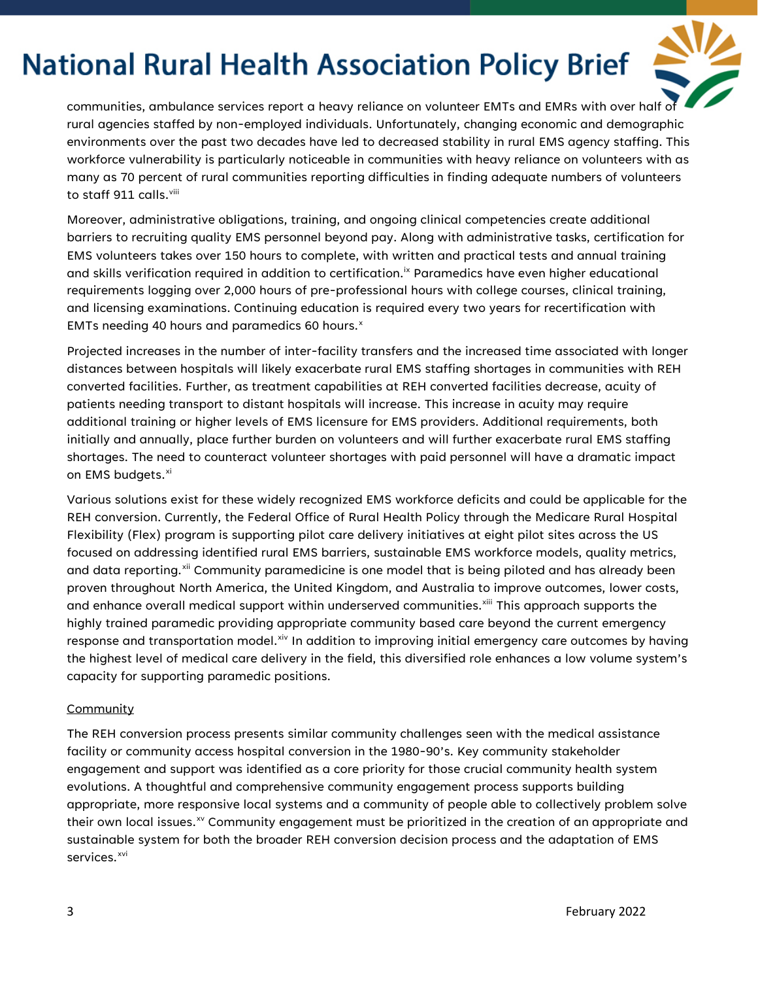

communities, ambulance services report a heavy reliance on volunteer EMTs and EMRs with over half of rural agencies staffed by non-employed individuals. Unfortunately, changing economic and demographic environments over the past two decades have led to decreased stability in rural EMS agency staffing. This workforce vulnerability is particularly noticeable in communities with heavy reliance on volunteers with as many as 70 percent of rural communities reporting difficulties in finding adequate numbers of volunteers to staff 911 calls.<sup>[viii](#page-6-7)</sup>

Moreover, administrative obligations, training, and ongoing clinical competencies create additional barriers to recruiting quality EMS personnel beyond pay. Along with administrative tasks, certification for EMS volunteers takes over 150 hours to complete, with written and practical tests and annual training and skills verification required in addition to certification.<sup>ix</sup> Paramedics have even higher educational requirements logging over 2,000 hours of pre-professional hours with college courses, clinical training, and licensing examinations. Continuing education is required every two years for recertification with EMTs needing 40 hours and paramedics 60 hours.<sup>[x](#page-6-9)</sup>

Projected increases in the number of inter-facility transfers and the increased time associated with longer distances between hospitals will likely exacerbate rural EMS staffing shortages in communities with REH converted facilities. Further, as treatment capabilities at REH converted facilities decrease, acuity of patients needing transport to distant hospitals will increase. This increase in acuity may require additional training or higher levels of EMS licensure for EMS providers. Additional requirements, both initially and annually, place further burden on volunteers and will further exacerbate rural EMS staffing shortages. The need to counteract volunteer shortages with paid personnel will have a dramatic impact on EMS budgets.<sup>[xi](#page-6-10)</sup>

Various solutions exist for these widely recognized EMS workforce deficits and could be applicable for the REH conversion. Currently, the Federal Office of Rural Health Policy through the Medicare Rural Hospital Flexibility (Flex) program is supporting pilot care delivery initiatives at eight pilot sites across the US focused on addressing identified rural EMS barriers, sustainable EMS workforce models, quality metrics, and data reporting.<sup>[xii](#page-6-11)</sup> Community paramedicine is one model that is being piloted and has already been proven throughout North America, the United Kingdom, and Australia to improve outcomes, lower costs, and enhance overall medical support within underserved communities.<sup>[xiii](#page-6-12)</sup> This approach supports the highly trained paramedic providing appropriate community based care beyond the current emergency response and transportation model.<sup>[xiv](#page-6-13)</sup> In addition to improving initial emergency care outcomes by having the highest level of medical care delivery in the field, this diversified role enhances a low volume system's capacity for supporting paramedic positions.

#### **Community**

The REH conversion process presents similar community challenges seen with the medical assistance facility or community access hospital conversion in the 1980-90's. Key community stakeholder engagement and support was identified as a core priority for those crucial community health system evolutions. A thoughtful and comprehensive community engagement process supports building appropriate, more responsive local systems and a community of people able to collectively problem solve their own local issues. $\frac{1}{x}$  Community engagement must be prioritized in the creation of an appropriate and sustainable system for both the broader REH conversion decision process and the adaptation of EMS services.<sup>[xvi](#page-6-15)</sup>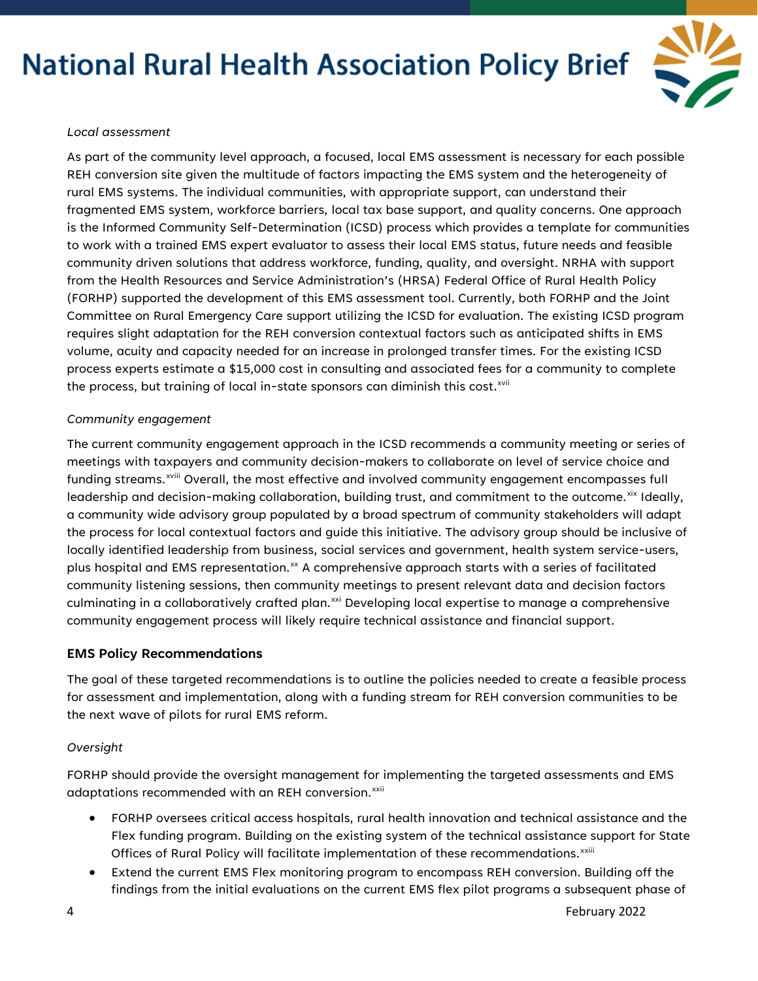

#### *Local assessment*

As part of the community level approach, a focused, local EMS assessment is necessary for each possible REH conversion site given the multitude of factors impacting the EMS system and the heterogeneity of rural EMS systems. The individual communities, with appropriate support, can understand their fragmented EMS system, workforce barriers, local tax base support, and quality concerns. One approach is the Informed Community Self-Determination (ICSD) process which provides a template for communities to work with a trained EMS expert evaluator to assess their local EMS status, future needs and feasible community driven solutions that address workforce, funding, quality, and oversight. NRHA with support from the Health Resources and Service Administration's (HRSA) Federal Office of Rural Health Policy (FORHP) supported the development of this EMS assessment tool. Currently, both FORHP and the Joint Committee on Rural Emergency Care support utilizing the ICSD for evaluation. The existing ICSD program requires slight adaptation for the REH conversion contextual factors such as anticipated shifts in EMS volume, acuity and capacity needed for an increase in prolonged transfer times. For the existing ICSD process experts estimate a \$15,000 cost in consulting and associated fees for a community to complete the process, but training of local in-state sponsors can diminish this cost. $^{xvi}$ 

#### *Community engagement*

The current community engagement approach in the ICSD recommends a community meeting or series of meetings with taxpayers and community decision-makers to collaborate on level of service choice and funding streams.<sup>xviii</sup> [O](#page-6-17)verall, the most effective and involved community engagement encompasses full leadership and decision-making collaboration, building trust, and commitment to the outcome.<sup>[xix](#page-6-18)</sup> Ideally, a community wide advisory group populated by a broad spectrum of community stakeholders will adapt the process for local contextual factors and guide this initiative. The advisory group should be inclusive of locally identified leadership from business, social services and government, health system service-users, plus hospital and EMS representation. $x^2$  A comprehensive approach starts with a series of facilitated community listening sessions, then community meetings to present relevant data and decision factors culminating in a collaboratively crafted plan.<sup>[xxi](#page-6-20)</sup> Developing local expertise to manage a comprehensive community engagement process will likely require technical assistance and financial support.

### **EMS Policy Recommendations**

The goal of these targeted recommendations is to outline the policies needed to create a feasible process for assessment and implementation, along with a funding stream for REH conversion communities to be the next wave of pilots for rural EMS reform.

#### *Oversight*

FORHP should provide the oversight management for implementing the targeted assessments and EMS adaptations recommended with an REH conversion.<sup>[xxii](#page-6-21)</sup>

- FORHP oversees critical access hospitals, rural health innovation and technical assistance and the Flex funding program. Building on the existing system of the technical assistance support for State Off[i](#page-6-22)ces of Rural Policy will facilitate implementation of these recommendations.<sup>xxiii</sup>
- Extend the current EMS Flex monitoring program to encompass REH conversion. Building off the findings from the initial evaluations on the current EMS flex pilot programs a subsequent phase of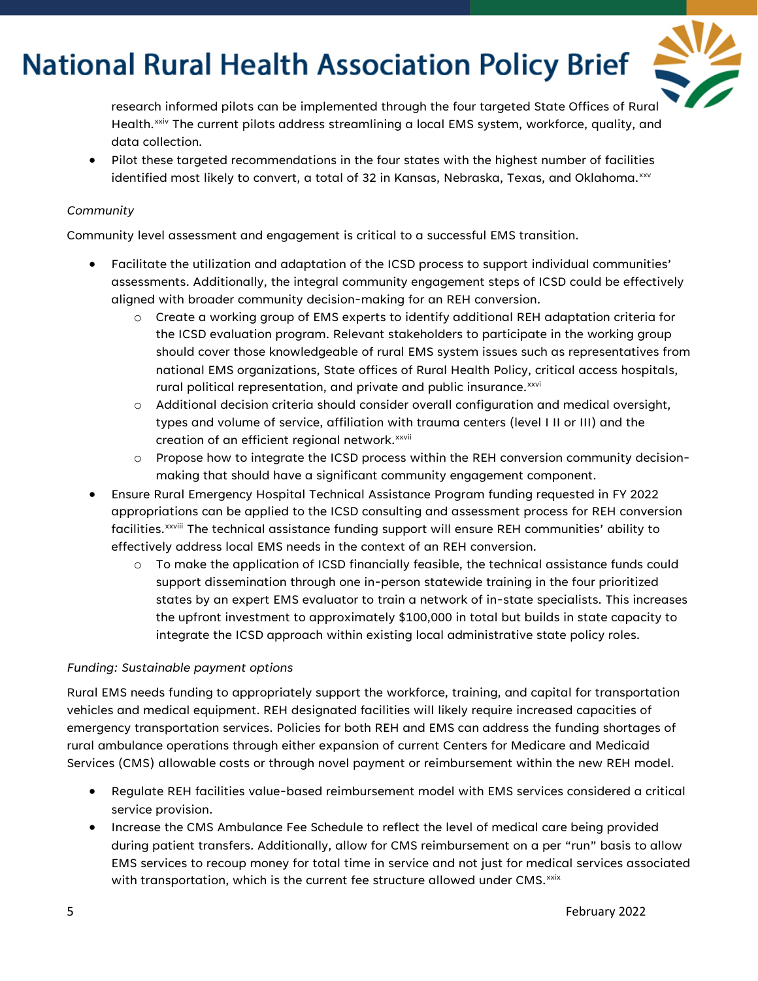

research informed pilots can be implemented through the four targeted State Offices of Rural Health.<sup>[xxiv](#page-6-23)</sup> The current pilots address streamlining a local EMS system, workforce, quality, and data collection*.*

• Pilot these targeted recommendations in the four states with the highest number of facilities identified most likely to convert, a total of 32 in Kansas, Nebraska, Texas, and Oklahoma. $^{\mathrm{xsv}}$ 

#### *Community*

Community level assessment and engagement is critical to a successful EMS transition.

- Facilitate the utilization and adaptation of the ICSD process to support individual communities' assessments. Additionally, the integral community engagement steps of ICSD could be effectively aligned with broader community decision-making for an REH conversion.
	- o Create a working group of EMS experts to identify additional REH adaptation criteria for the ICSD evaluation program. Relevant stakeholders to participate in the working group should cover those knowledgeable of rural EMS system issues such as representatives from national EMS organizations, State offices of Rural Health Policy, critical access hospitals, rural political representation, and private and public insurance. XXVi
	- o Additional decision criteria should consider overall configuration and medical oversight, types and volume of service, affiliation with trauma centers (level I II or III) and the creation of an efficient regional network.<sup>xxvii</sup>
	- o Propose how to integrate the ICSD process within the REH conversion community decisionmaking that should have a significant community engagement component.
- Ensure Rural Emergency Hospital Technical Assistance Program funding requested in FY 2022 appropriations can be applied to the ICSD consulting and assessment process for REH conversion fac[i](#page-7-0)lities.<sup>xxviii</sup> The technical assistance funding support will ensure REH communities' ability to effectively address local EMS needs in the context of an REH conversion.
	- o To make the application of ICSD financially feasible, the technical assistance funds could support dissemination through one in-person statewide training in the four prioritized states by an expert EMS evaluator to train a network of in-state specialists. This increases the upfront investment to approximately \$100,000 in total but builds in state capacity to integrate the ICSD approach within existing local administrative state policy roles.

### *Funding: Sustainable payment options*

Rural EMS needs funding to appropriately support the workforce, training, and capital for transportation vehicles and medical equipment. REH designated facilities will likely require increased capacities of emergency transportation services. Policies for both REH and EMS can address the funding shortages of rural ambulance operations through either expansion of current Centers for Medicare and Medicaid Services (CMS) allowable costs or through novel payment or reimbursement within the new REH model.

- Regulate REH facilities value-based reimbursement model with EMS services considered a critical service provision.
- Increase the CMS Ambulance Fee Schedule to reflect the level of medical care being provided during patient transfers. Additionally, allow for CMS reimbursement on a per "run" basis to allow EMS services to recoup money for total time in service and not just for medical services associated with transportation, which is the current fee structure allowed under  $\mathsf{CMS.}^\mathsf{xsix}$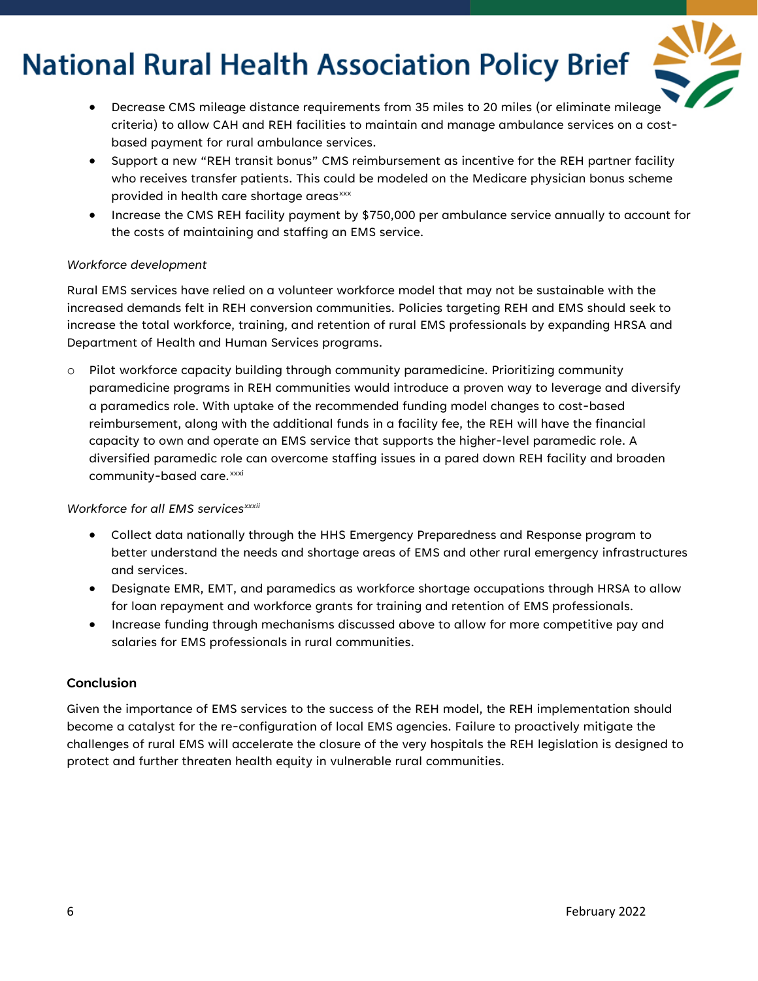

- Decrease CMS mileage distance requirements from 35 miles to 20 miles (or eliminate mileage criteria) to allow CAH and REH facilities to maintain and manage ambulance services on a costbased payment for rural ambulance services.
- Support a new "REH transit bonus" CMS reimbursement as incentive for the REH partner facility who receives transfer patients. This could be modeled on the Medicare physician bonus scheme provided in health care shortage areas<sup>[xxx](#page-7-2)</sup>
- Increase the CMS REH facility payment by \$750,000 per ambulance service annually to account for the costs of maintaining and staffing an EMS service.

#### *Workforce development*

Rural EMS services have relied on a volunteer workforce model that may not be sustainable with the increased demands felt in REH conversion communities. Policies targeting REH and EMS should seek to increase the total workforce, training, and retention of rural EMS professionals by expanding HRSA and Department of Health and Human Services programs.

o Pilot workforce capacity building through community paramedicine. Prioritizing community paramedicine programs in REH communities would introduce a proven way to leverage and diversify a paramedics role. With uptake of the recommended funding model changes to cost-based reimbursement, along with the additional funds in a facility fee, the REH will have the financial capacity to own and operate an EMS service that supports the higher-level paramedic role. A diversified paramedic role can overcome staffing issues in a pared down REH facility and broaden community-based care.<sup>[xxxi](#page-7-3)</sup>

#### *Workforce for all EMS serv[i](#page-7-4)ces<sup>xxxii</sup>*

- Collect data nationally through the HHS Emergency Preparedness and Response program to better understand the needs and shortage areas of EMS and other rural emergency infrastructures and services.
- Designate EMR, EMT, and paramedics as workforce shortage occupations through HRSA to allow for loan repayment and workforce grants for training and retention of EMS professionals.
- Increase funding through mechanisms discussed above to allow for more competitive pay and salaries for EMS professionals in rural communities.

### **Conclusion**

Given the importance of EMS services to the success of the REH model, the REH implementation should become a catalyst for the re-configuration of local EMS agencies. Failure to proactively mitigate the challenges of rural EMS will accelerate the closure of the very hospitals the REH legislation is designed to protect and further threaten health equity in vulnerable rural communities.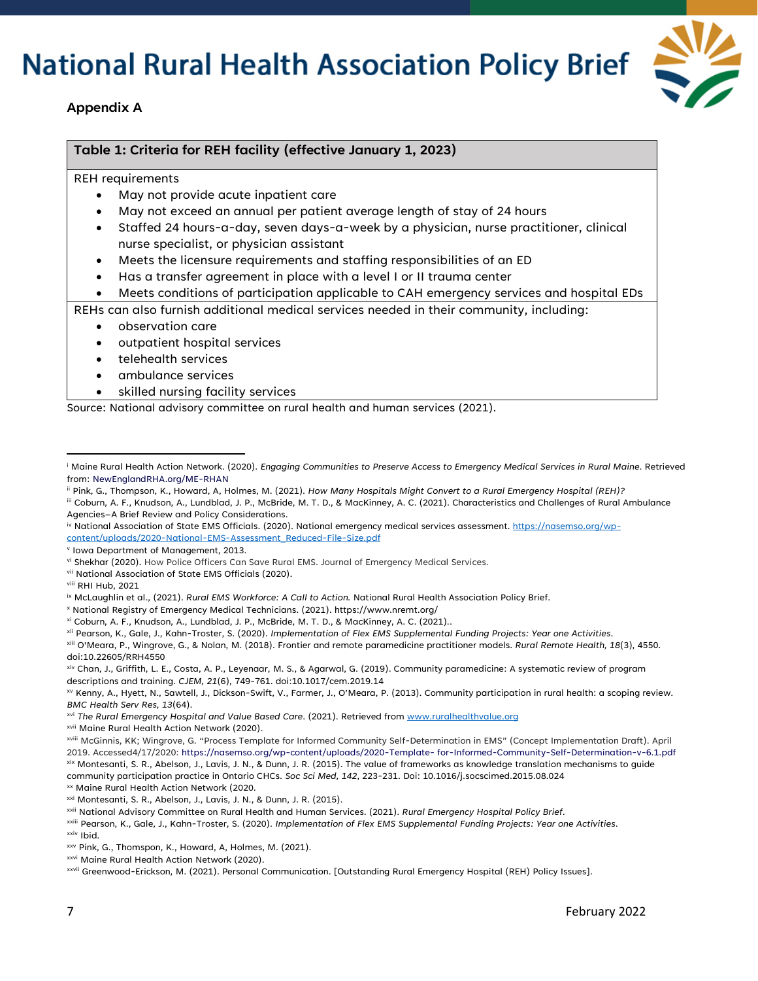

#### **Appendix A**

#### **Table 1: Criteria for REH facility (effective January 1, 2023)**

REH requirements

- May not provide acute inpatient care
- May not exceed an annual per patient average length of stay of 24 hours
- Staffed 24 hours-a-day, seven days-a-week by a physician, nurse practitioner, clinical nurse specialist, or physician assistant
- Meets the licensure requirements and staffing responsibilities of an ED
- Has a transfer agreement in place with a level I or II trauma center
- Meets conditions of participation applicable to CAH emergency services and hospital EDs

REHs can also furnish additional medical services needed in their community, including:

- observation care
- outpatient hospital services
- telehealth services
- ambulance services
- skilled nursing facility services

Source: National advisory committee on rural health and human services (2021).

<span id="page-6-6"></span>vii National Association of State EMS Officials (2020).

#### <span id="page-6-7"></span>viii RHI Hub, 2021

<span id="page-6-12"></span>xiii O'Meara, P., Wingrove, G., & Nolan, M. (2018). Frontier and remote paramedicine practitioner models. *Rural Remote Health, 18*(3), 4550. doi:10.22605/RRH4550

<span id="page-6-14"></span>xv Kenny, A., Hyett, N., Sawtell, J., Dickson-Swift, V., Farmer, J., O'Meara, P. (2013). Community participation in rural health: a scoping review.

<span id="page-6-15"></span>*BMC Health Serv Res, 13*(64).<br><sup>xvi</sup> The Rural Emergency Hospital and Value Based Care. (2021). Retrieved from <u>www.ruralhealthvalue.org</u>

- 
- <span id="page-6-17"></span><span id="page-6-16"></span><sup>xvii</sup> Maine Rural Health Action Network (2020).<br><sup>xviii</sup> McGinnis, KK; Wingrove, G. "Process Template for Informed Community Self-Determination in EMS" (Concept Implementation Draft). April 2019. Accessed4/17/2020: https://nasemso.org/wp-content/uploads/2020-Template- for-Informed-Community-Self-Determination-v-6.1.pdf<br><sup>xix</sup> Montesanti, S. R., Abelson, J., Lavis, J. N., & Dunn, J. R. (2015). The value of fram

<span id="page-6-18"></span>community participation practice in Ontario CHCs. *Soc Sci Med, 142*, 223-231. Doi: 10.1016/j.socscimed.2015.08.024

<span id="page-6-19"></span>xx Maine Rural Health Action Network (2020.

<span id="page-6-0"></span><sup>i</sup> Maine Rural Health Action Network. (2020). *Engaging Communities to Preserve Access to Emergency Medical Services in Rural Maine*. Retrieved from: NewEnglandRHA.org/ME-RHAN

<span id="page-6-1"></span>ii Pink, G., Thompson, K., Howard, A, Holmes, M. (2021). *How Many Hospitals Might Convert to a Rural Emergency Hospital (REH)?*

<span id="page-6-2"></span>iii Coburn, A. F., Knudson, A., Lundblad, J. P., McBride, M. T. D., & MacKinney, A. C. (2021). Characteristics and Challenges of Rural Ambulance Agencies–A Brief Review and Policy Considerations.

<span id="page-6-3"></span>iv National Association of State EMS Officials. (2020). National emergency medical services assessment[. https://nasemso.org/wp](https://nasemso.org/wp-content/uploads/2020-National-EMS-Assessment_Reduced-File-Size.pdf)[content/uploads/2020-National-EMS-Assessment\\_Reduced-File-Size.pdf](https://nasemso.org/wp-content/uploads/2020-National-EMS-Assessment_Reduced-File-Size.pdf)

<span id="page-6-4"></span><sup>v</sup> Iowa Department of Management, 2013.

<span id="page-6-5"></span>vi Shekhar (2020). How Police Officers Can Save Rural EMS. Journal of Emergency Medical Services.

<span id="page-6-8"></span>ix McLaughlin et al., (2021). *Rural EMS Workforce: A Call to Action.* National Rural Health Association Policy Brief.

<span id="page-6-10"></span><span id="page-6-9"></span><sup>x</sup> National Registry of Emergency Medical Technicians. (2021). https://www.nremt.org/

xi Coburn, A. F., Knudson, A., Lundblad, J. P., McBride, M. T. D., & MacKinney, A. C. (2021)..

<span id="page-6-11"></span>xii Pearson, K., Gale, J., Kahn-Troster, S. (2020). *Implementation of Flex EMS Supplemental Funding Projects: Year one Activities*.

<span id="page-6-13"></span>xiv Chan, J., Griffith, L. E., Costa, A. P., Leyenaar, M. S., & Agarwal, G. (2019). Community paramedicine: A systematic review of program descriptions and training. *CJEM, 21*(6), 749-761. doi:10.1017/cem.2019.14

<span id="page-6-22"></span>

<span id="page-6-21"></span><span id="page-6-20"></span><sup>&</sup>lt;sup>xxi</sup> Montesanti, S. R., Abelson, J., Lavis, J. N., & Dunn, J. R. (2015).<br><sup>xxii</sup> National Advisory Committee on Rural Health and Human Services. (2021). R*ural Emergency Hospital Policy Brief*.<br><sup>xxiii</sup> Pearson, K., Gale, J

<span id="page-6-25"></span><span id="page-6-24"></span><span id="page-6-23"></span>xxv Pink, G., Thomspon, K., Howard, A, Holmes, M. (2021).<br>xxvi Maine Rural Health Action Network (2020).<br>xxvii Greenwood-Erickson, M. (2021). Personal Communication. [Outstanding Rural Emergency Hospital (REH) Policy Issue